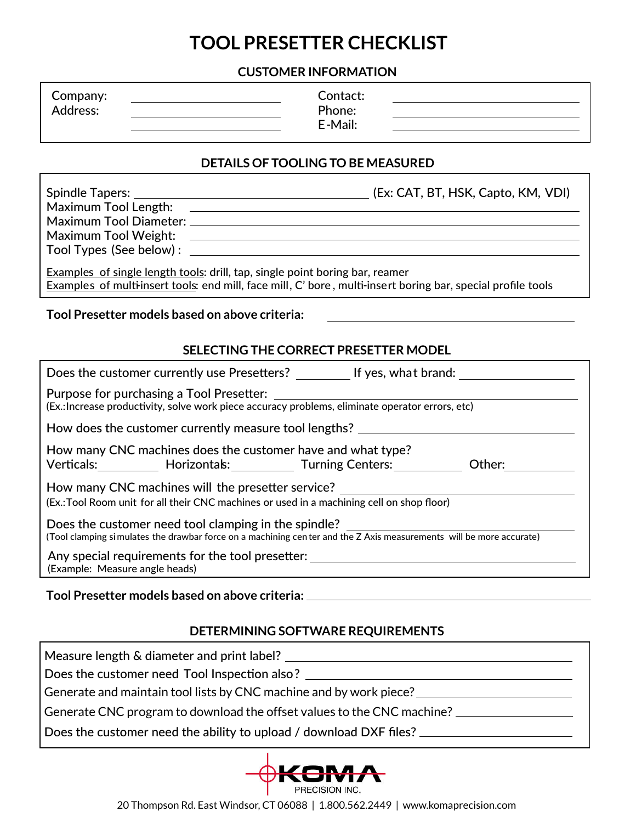## **TOOL PRESETTER CHECKLIST**

#### **CUSTOMER INFORMATION**

### **DETAILS OF TOOLING TO BE MEASURED**

| Examples of single length tools: drill, tap, single point boring bar, reamer<br>Examples of multi-insert tools: end mill, face mill, C' bore, multi-insert boring bar, special profile tools |  |  |  |  |  |  |  |
|----------------------------------------------------------------------------------------------------------------------------------------------------------------------------------------------|--|--|--|--|--|--|--|
| Tool Presetter models based on above criteria:                                                                                                                                               |  |  |  |  |  |  |  |
| SELECTING THE CORRECT PRESETTER MODEL                                                                                                                                                        |  |  |  |  |  |  |  |
| Does the customer currently use Presetters? ___________ If yes, what brand: ________________________                                                                                         |  |  |  |  |  |  |  |
| Purpose for purchasing a Tool Presetter:<br>(Ex.: Increase productivity, solve work piece accuracy problems, eliminate operator errors, etc)                                                 |  |  |  |  |  |  |  |
| How does the customer currently measure tool lengths? __________________________                                                                                                             |  |  |  |  |  |  |  |
| How many CNC machines does the customer have and what type?<br>Verticals: Morizontals: Turning Centers: Morticals: Noter: 2011                                                               |  |  |  |  |  |  |  |
| How many CNC machines will the presetter service?<br>(Ex.: Tool Room unit for all their CNC machines or used in a machining cell on shop floor)                                              |  |  |  |  |  |  |  |
| Does the customer need tool clamping in the spindle?<br>(Tool clamping simulates the drawbar force on a machining cen ter and the Z Axis measurements will be more accurate)                 |  |  |  |  |  |  |  |
| Any special requirements for the tool presetter: _______________________________<br>(Example: Measure angle heads)                                                                           |  |  |  |  |  |  |  |

#### **Tool Presetter models based on above criteria:**

#### **DETERMINING SOFTWARE REQUIREMENTS**

Measure length & diameter and print label? Does the customer need Tool Inspection also? \_\_\_\_\_\_\_\_\_\_ Does the customer need the ability to upload / download DXF files? \_\_\_\_\_\_\_\_\_\_\_\_\_\_ Generate and maintain tool lists by CNC machine and by work piece? \_\_\_\_\_\_\_\_\_\_\_\_\_ Generate CNC program to download the offset values to the CNC machine?



20 Thompson Rd. East Windsor, CT 06088 | 1.800.562.2449 | www.komaprecision.com